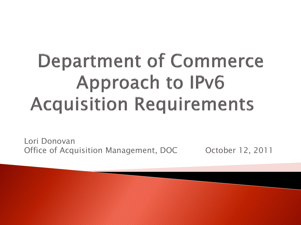# **Department of Commerce Approach to IPv6 Acquisition Requirements**

Lori Donovan Office of Acquisition Management, DOC October 12, 2011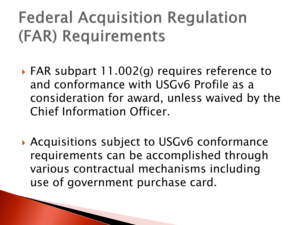## **Federal Acquisition Regulation** (FAR) Requirements

- FAR subpart 11.002(g) requires reference to and conformance with USGv6 Profile as a consideration for award, unless waived by the Chief Information Officer.
- ▶ Acquisitions subject to USGv6 conformance requirements can be accomplished through various contractual mechanisms including use of government purchase card.

**The Comment of Comment Comment Comment Comment Comment Comment Comment Comment Comment Comment Comment Comment**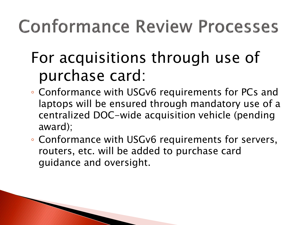## **Conformance Review Processes**

#### For acquisitions through use of purchase card:

- Conformance with USGv6 requirements for PCs and laptops will be ensured through mandatory use of a centralized DOC-wide acquisition vehicle (pending award);
- Conformance with USGv6 requirements for servers, routers, etc. will be added to purchase card guidance and oversight.

The Company of the Company of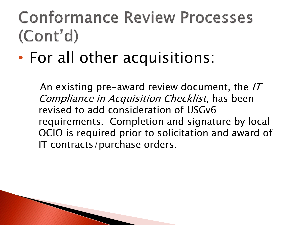### **Conformance Review Processes**  $(Cont'd)$

• For all other acquisitions:

The Company of the Company of

An existing pre-award review document, the  $IT$ Compliance in Acquisition Checklist, has been revised to add consideration of USGv6 requirements. Completion and signature by local OCIO is required prior to solicitation and award of IT contracts/purchase orders.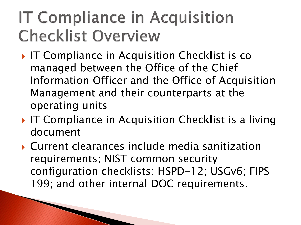## **IT Compliance in Acquisition Checklist Overview**

- ▶ IT Compliance in Acquisition Checklist is comanaged between the Office of the Chief Information Officer and the Office of Acquisition Management and their counterparts at the operating units
- IF Compliance in Acquisition Checklist is a living document
- Current clearances include media sanitization requirements; NIST common security configuration checklists; HSPD-12; USGv6; FIPS 199; and other internal DOC requirements.

The Communication of the Communication